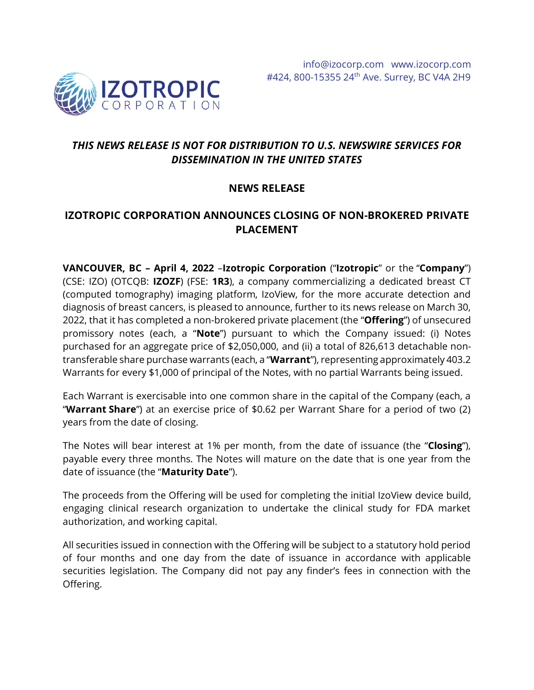

# *THIS NEWS RELEASE IS NOT FOR DISTRIBUTION TO U.S. NEWSWIRE SERVICES FOR DISSEMINATION IN THE UNITED STATES*

## **NEWS RELEASE**

## **IZOTROPIC CORPORATION ANNOUNCES CLOSING OF NON-BROKERED PRIVATE PLACEMENT**

**VANCOUVER, BC – April 4, 2022** –**Izotropic Corporation** ("**Izotropic**" or the "**Company**") (CSE: IZO) (OTCQB: **IZOZF**) (FSE: **1R3**), a company commercializing a dedicated breast CT (computed tomography) imaging platform, IzoView, for the more accurate detection and diagnosis of breast cancers, is pleased to announce, further to its news release on March 30, 2022, that it has completed a non-brokered private placement (the "**Offering**") of unsecured promissory notes (each, a "**Note**") pursuant to which the Company issued: (i) Notes purchased for an aggregate price of \$2,050,000, and (ii) a total of 826,613 detachable nontransferable share purchase warrants (each, a "**Warrant**"), representing approximately 403.2 Warrants for every \$1,000 of principal of the Notes, with no partial Warrants being issued.

Each Warrant is exercisable into one common share in the capital of the Company (each, a "**Warrant Share**") at an exercise price of \$0.62 per Warrant Share for a period of two (2) years from the date of closing.

The Notes will bear interest at 1% per month, from the date of issuance (the "**Closing**"), payable every three months. The Notes will mature on the date that is one year from the date of issuance (the "**Maturity Date**").

The proceeds from the Offering will be used for completing the initial IzoView device build, engaging clinical research organization to undertake the clinical study for FDA market authorization, and working capital.

All securities issued in connection with the Offering will be subject to a statutory hold period of four months and one day from the date of issuance in accordance with applicable securities legislation. The Company did not pay any finder's fees in connection with the Offering.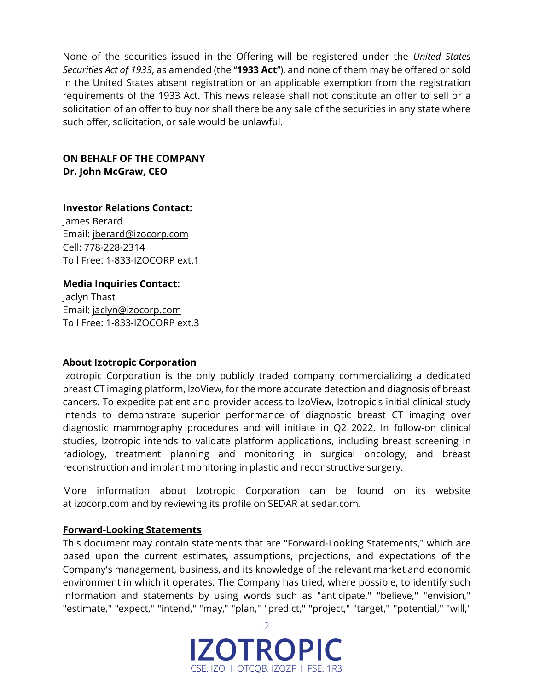None of the securities issued in the Offering will be registered under the *United States Securities Act of 1933*, as amended (the "**1933 Act**"), and none of them may be offered or sold in the United States absent registration or an applicable exemption from the registration requirements of the 1933 Act. This news release shall not constitute an offer to sell or a solicitation of an offer to buy nor shall there be any sale of the securities in any state where such offer, solicitation, or sale would be unlawful.

#### **ON BEHALF OF THE COMPANY Dr. John McGraw, CEO**

**Investor Relations Contact:** James Berard Email: [jberard@izocorp.com](mailto:jberard@izocorp.com) Cell: 778-228-2314 Toll Free: 1-833-IZOCORP ext.1

### **Media Inquiries Contact:**

Jaclyn Thast Email: [jaclyn@izocorp.com](mailto:jaclyn@izocorp.com) Toll Free: 1-833-IZOCORP ext.3

#### **About Izotropic Corporation**

Izotropic Corporation is the only publicly traded company commercializing a dedicated breast CT imaging platform, IzoView, for the more accurate detection and diagnosis of breast cancers. To expedite patient and provider access to IzoView, Izotropic's initial clinical study intends to demonstrate superior performance of diagnostic breast CT imaging over diagnostic mammography procedures and will initiate in Q2 2022. In follow-on clinical studies, Izotropic intends to validate platform applications, including breast screening in radiology, treatment planning and monitoring in surgical oncology, and breast reconstruction and implant monitoring in plastic and reconstructive surgery.

More information about Izotropic Corporation can be found on its website at [izocorp.com](https://izocorp.com/) and by reviewing its profile on SEDAR at [sedar.com.](https://www.sedar.com/DisplayProfile.do?lang=EN&issuerType=03&issuerNo=00044761)

#### **Forward-Looking Statements**

This document may contain statements that are "Forward-Looking Statements," which are based upon the current estimates, assumptions, projections, and expectations of the Company's management, business, and its knowledge of the relevant market and economic environment in which it operates. The Company has tried, where possible, to identify such information and statements by using words such as "anticipate," "believe," "envision," "estimate," "expect," "intend," "may," "plan," "predict," "project," "target," "potential," "will,"